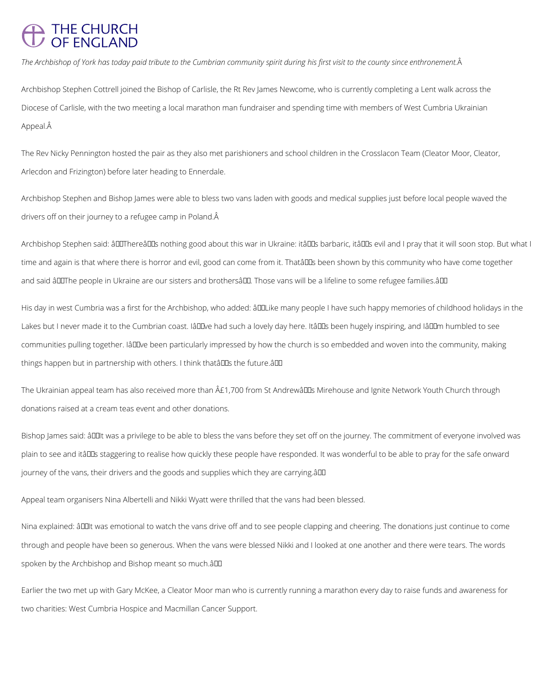## THE CHURCH<br>OF ENGLAND

*The Archbishop of York has today paid tribute to the Cumbrian community spirit during his first visit to the county since enthronement.*

Archbishop Stephen Cottrell joined the Bishop of Carlisle, the Rt Rev James Newcome, who is currently completing a Lent walk across the Diocese of Carlisle, with the two meeting a local marathon man fundraiser and spending time with members of West Cumbria Ukrainian Appeal.

The Rev Nicky Pennington hosted the pair as they also met parishioners and school children in the Crosslacon Team (Cleator Moor, Cleator, Arlecdon and Frizington) before later heading to Ennerdale.

Archbishop Stephen and Bishop James were able to bless two vans laden with goods and medical supplies just before local people waved the drivers off on their journey to a refugee camp in Poland.

Archbishop Stephen said: âDIThereâDDs nothing good about this war in Ukraine: itâDDs barbaric, itâDDs evil and I pray that it will soon stop. But what I time and again is that where there is horror and evil, good can come from it. Thatâll us been shown by this community who have come together and said âDOThe people in Ukraine are our sisters and brothersâDD. Those vans will be a lifeline to some refugee families.âDD

His day in west Cumbria was a first for the Archbishop, who added:  $\hat{a}$ ULike many people I have such happy memories of childhood holidays in the Lakes but I never made it to the Cumbrian coast. IâDDve had such a lovely day here. ItâDDs been hugely inspiring, and IâDDm humbled to see communities pulling together. IâD Dve been particularly impressed by how the church is so embedded and woven into the community, making things happen but in partnership with others. I think thatâlles the future. All

The Ukrainian appeal team has also received more than  $\hat{A}E1,700$  from St Andrewâll Is Mirehouse and Ignite Network Youth Church through donations raised at a cream teas event and other donations.

Bishop James said:  $\frac{\partial U}{\partial x}$  and privilege to be able to bless the vans before they set off on the journey. The commitment of everyone involved was plain to see and itâll as staggering to realise how quickly these people have responded. It was wonderful to be able to pray for the safe onward journey of the vans, their drivers and the goods and supplies which they are carrying.  $\partial U$ 

Appeal team organisers Nina Albertelli and Nikki Wyatt were thrilled that the vans had been blessed.

Nina explained:  $\hat{a}$  IIIt was emotional to watch the vans drive off and to see people clapping and cheering. The donations just continue to come

through and people have been so generous. When the vans were blessed Nikki and I looked at one another and there were tears. The words

spoken by the Archbishop and Bishop meant so much.â

Earlier the two met up with Gary McKee, a Cleator Moor man who is currently running a marathon every day to raise funds and awareness for

two charities: West Cumbria Hospice and Macmillan Cancer Support.